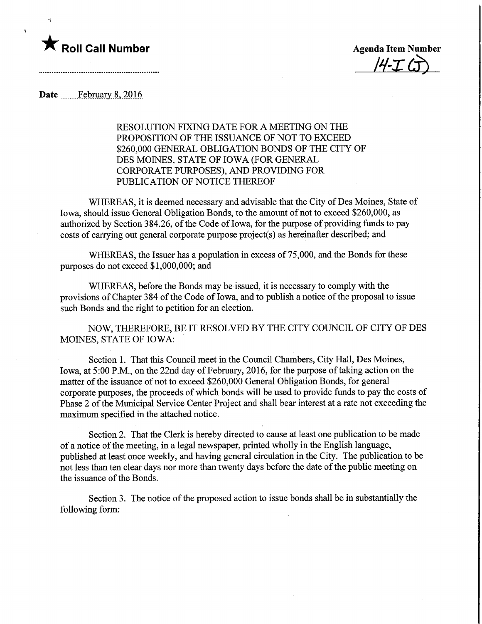

 $\bar{\mathbf{v}}$ 

 $4J$ 

## Date February 8, 2016

RESOLUTION FIXING DATE FOR A MEETING ON THE PROPOSITION OF THE ISSUANCE OF NOT TO EXCEED \$260,000 GENERAL OBLIGATION BONDS OF THE CITY OF DES MOINES, STATE OF IOWA (FOR GENERAL CORPORATE PURPOSES), AND PROVIDING FOR PUBLICATION OF NOTICE THEREOF

WHEREAS, it is deemed necessary and advisable that the City of Des Moines, State of Iowa, should issue General Obligation Bonds, to the amount of not to exceed \$260,000, as authorized by Section 384.26, of the Code of Iowa, for the purpose of providing funds to pay costs of carrying out general corporate purpose project(s) as hereinafter described; and

WHEREAS, the Issuer has a population in excess of 75,000, and the Bonds for these purposes do not exceed \$1,000,000; and

WHEREAS, before the Bonds may be issued, it is necessary to comply with the provisions of Chapter 384 of the Code of Iowa, and to publish a notice of the proposal to issue such Bonds and the right to petition for an election.

NOW, THEREFORE, BE IT RESOLVED BY THE CITY COUNCIL OF CITY OF DES MOINES, STATE OF IOWA:

Section 1. That this Council meet in the Council Chambers, City Hall, Des Moines, Iowa, at 5:00 P.M., on the 22nd day of February, 2016, for the purpose of taking action on the matter of the issuance of not to exceed \$260,000 General Obligation Bonds, for general corporate purposes, the proceeds of which bonds will be used to provide funds to pay the costs of Phase 2 of the Municipal Service Center Project and shall bear interest at a rate not exceeding the maximum specified in the attached notice.

Section 2. That the Clerk is hereby directed to cause at least one publication to be made of a notice of the meeting, in a legal newspaper, printed wholly in the English language, published at least once weekly, and having general circulation in the City. The publication to be not less than ten clear days nor more than twenty days before the date of the public meeting on the issuance of the Bonds.

Section 3. The notice of the proposed action to issue bonds shall be in substantially the following form: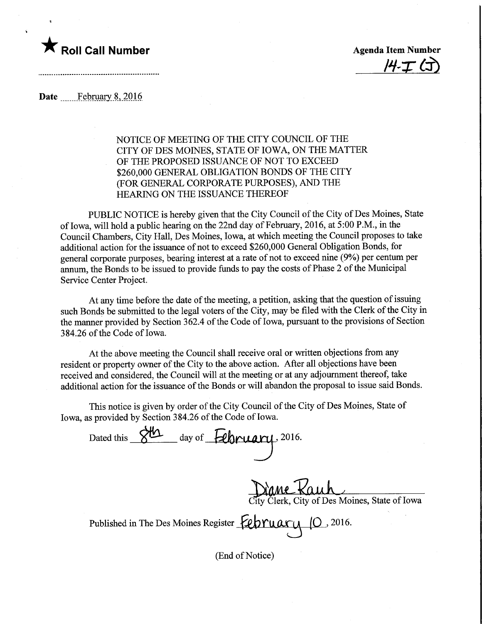## $\blacksquare$  Roll Call Number  $\blacksquare$  Agenda Item Number

 $H-T$ 

Date February 8, 2016

## NOTICE OF MEETING OF THE CITY COUNCIL OF THE CITY OF DES MOINES, STATE OF IOWA, ON THE MATTER OF THE PROPOSED ISSUANCE OF NOT TO EXCEED \$260,000 GENERAL OBLIGATION BONDS OF THE CITY (FOR GENERAL CORPORATE PURPOSES), AND THE HEARING ON THE ISSUANCE THEREOF

PUBLIC NOTICE is hereby given that the City Council of the City of Des Moines, State of Iowa, will hold a public hearing on the 22nd day of February, 2016, at 5:00 P.M., in the Council Chambers, City Hall, Des Moines, Iowa, at which meeting the Council proposes to take additional action for the issuance of not to exceed \$260,000 General Obligation Bonds, for general corporate purposes, bearing interest at a rate of not to exceed nine (9%) per centum per annum, the Bonds to be issued to provide funds to pay the costs of Phase 2 of the Municipal Service Center Project.

At any time before the date of the meeting, a petition, asking that the question of issuing such Bonds be submitted to the legal voters of the City, may be filed with the Clerk of the City in the manner provided by Section 362.4 of the Code of Iowa, pursuant to the provisions of Section 384.26 of the Code of Iowa.

At the above meeting the Council shall receive oral or written objections from any resident or property owner of the City to the above action. After all objections have been received and considered, the Council will at the meeting or at any adjournment thereof, take additional action for the issuance of the Bonds or will abandon the proposal to issue said Bonds.

This notice is given by order of the City Council of the City of Des Moines, State of Iowa, as provided by Section 384.26 of the Code of Iowa.

Dated this  $\frac{\partial W}{\partial x}$  day of February, 2016. rane Kauh lity Clerk, City of Des Moines, State of Iowa Published in The Des Moines Register  $\epsilon_P$ ruary (0 ,2016.

(End of Notice)